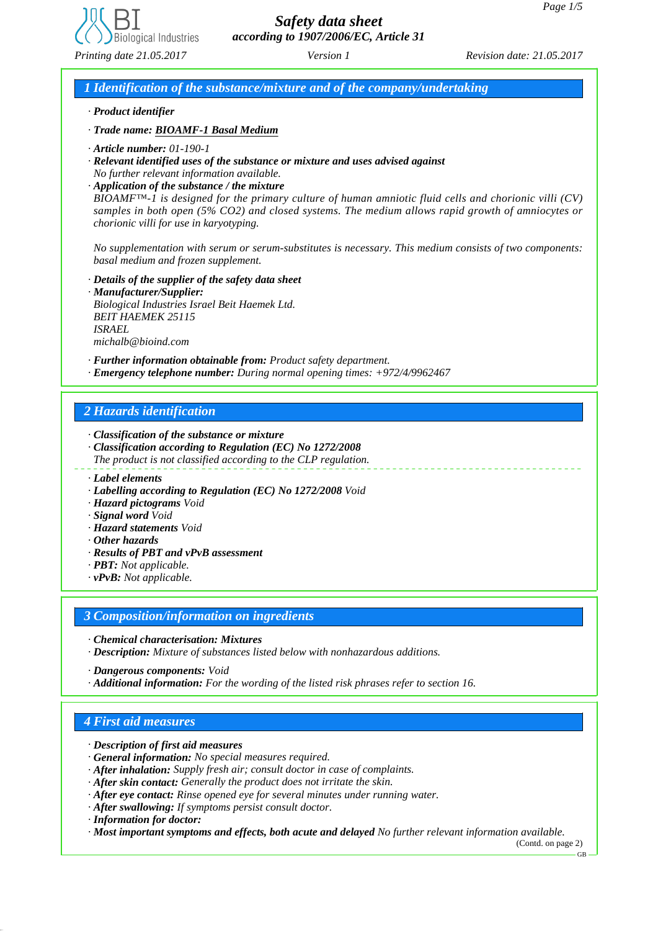

*1 Identification of the substance/mixture and of the company/undertaking*

### *· Product identifier*

*· Trade name: BIOAMF-1 Basal Medium*

- *· Article number: 01-190-1*
- *· Relevant identified uses of the substance or mixture and uses advised against No further relevant information available.*
- *· Application of the substance / the mixture*

*BIOAMF™-1 is designed for the primary culture of human amniotic fluid cells and chorionic villi (CV) samples in both open (5% CO2) and closed systems. The medium allows rapid growth of amniocytes or chorionic villi for use in karyotyping.*

*No supplementation with serum or serum-substitutes is necessary. This medium consists of two components: basal medium and frozen supplement.*

- *· Details of the supplier of the safety data sheet*
- *· Manufacturer/Supplier: Biological Industries Israel Beit Haemek Ltd. BEIT HAEMEK 25115 ISRAEL michalb@bioind.com*

*· Further information obtainable from: Product safety department. · Emergency telephone number: During normal opening times: +972/4/9962467*

## *2 Hazards identification*

*· Classification of the substance or mixture*

- *· Classification according to Regulation (EC) No 1272/2008*
- *The product is not classified according to the CLP regulation.*
- *· Label elements*
- *· Labelling according to Regulation (EC) No 1272/2008 Void*
- *· Hazard pictograms Void*
- *· Signal word Void*
- *· Hazard statements Void*
- *· Other hazards*
- *· Results of PBT and vPvB assessment*
- *· PBT: Not applicable.*
- *· vPvB: Not applicable.*

## *3 Composition/information on ingredients*

- *· Chemical characterisation: Mixtures*
- *· Description: Mixture of substances listed below with nonhazardous additions.*
- *· Dangerous components: Void*
- *· Additional information: For the wording of the listed risk phrases refer to section 16.*

## *4 First aid measures*

- *· Description of first aid measures*
- *· General information: No special measures required.*
- *· After inhalation: Supply fresh air; consult doctor in case of complaints.*
- *· After skin contact: Generally the product does not irritate the skin.*
- *· After eye contact: Rinse opened eye for several minutes under running water.*
- *· After swallowing: If symptoms persist consult doctor.*
- *· Information for doctor:*

*· Most important symptoms and effects, both acute and delayed No further relevant information available.*

(Contd. on page 2)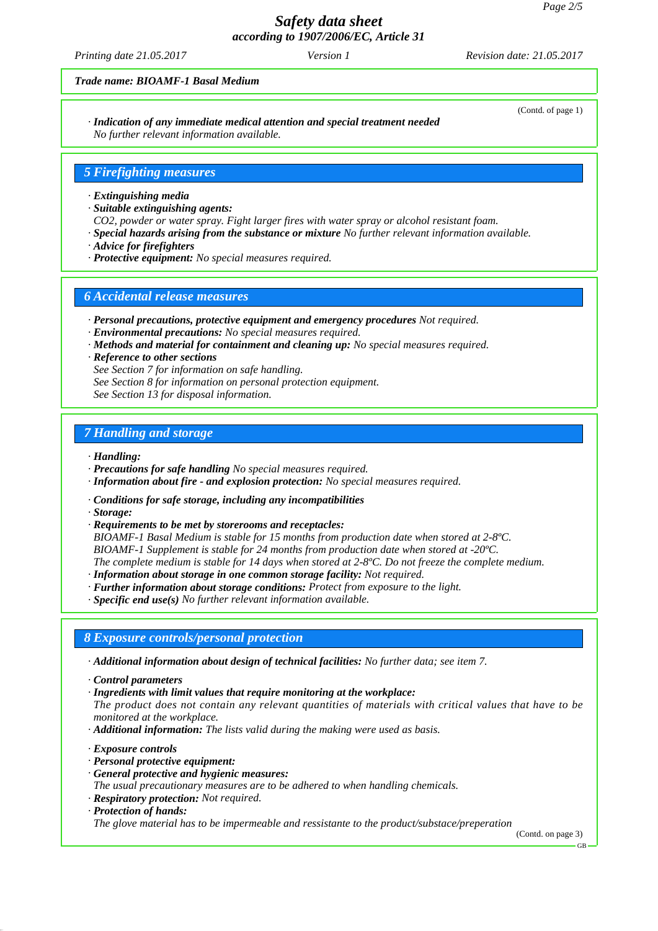*Printing date 21.05.2017 Revision date: 21.05.2017 Version 1*

#### *Trade name: BIOAMF-1 Basal Medium*

*· Indication of any immediate medical attention and special treatment needed No further relevant information available.*

#### *5 Firefighting measures*

#### *· Extinguishing media*

- *· Suitable extinguishing agents:*
- *CO2, powder or water spray. Fight larger fires with water spray or alcohol resistant foam.*
- *· Special hazards arising from the substance or mixture No further relevant information available.*
- *· Advice for firefighters*
- *· Protective equipment: No special measures required.*

### *6 Accidental release measures*

- *· Personal precautions, protective equipment and emergency procedures Not required.*
- *· Environmental precautions: No special measures required.*
- *· Methods and material for containment and cleaning up: No special measures required.*
- *· Reference to other sections*

*See Section 7 for information on safe handling.*

- *See Section 8 for information on personal protection equipment.*
- *See Section 13 for disposal information.*

### *7 Handling and storage*

#### *· Handling:*

- *· Precautions for safe handling No special measures required.*
- *· Information about fire and explosion protection: No special measures required.*
- *· Conditions for safe storage, including any incompatibilities*
- *· Storage:*
- *· Requirements to be met by storerooms and receptacles:*

*BIOAMF-1 Basal Medium is stable for 15 months from production date when stored at 2-8ºC. BIOAMF-1 Supplement is stable for 24 months from production date when stored at -20ºC. The complete medium is stable for 14 days when stored at 2-8ºC. Do not freeze the complete medium.*

- *· Information about storage in one common storage facility: Not required.*
- *· Further information about storage conditions: Protect from exposure to the light.*
- *· Specific end use(s) No further relevant information available.*

### *8 Exposure controls/personal protection*

*· Additional information about design of technical facilities: No further data; see item 7.*

- *· Control parameters*
- *· Ingredients with limit values that require monitoring at the workplace:*
- *The product does not contain any relevant quantities of materials with critical values that have to be monitored at the workplace.*
- *· Additional information: The lists valid during the making were used as basis.*
- *· Exposure controls*
- *· Personal protective equipment:*
- *· General protective and hygienic measures:*
- *The usual precautionary measures are to be adhered to when handling chemicals.*
- *· Respiratory protection: Not required.*
- *· Protection of hands:*

*The glove material has to be impermeable and ressistante to the product/substace/preperation*

(Contd. on page 3)

## GB

#### (Contd. of page 1)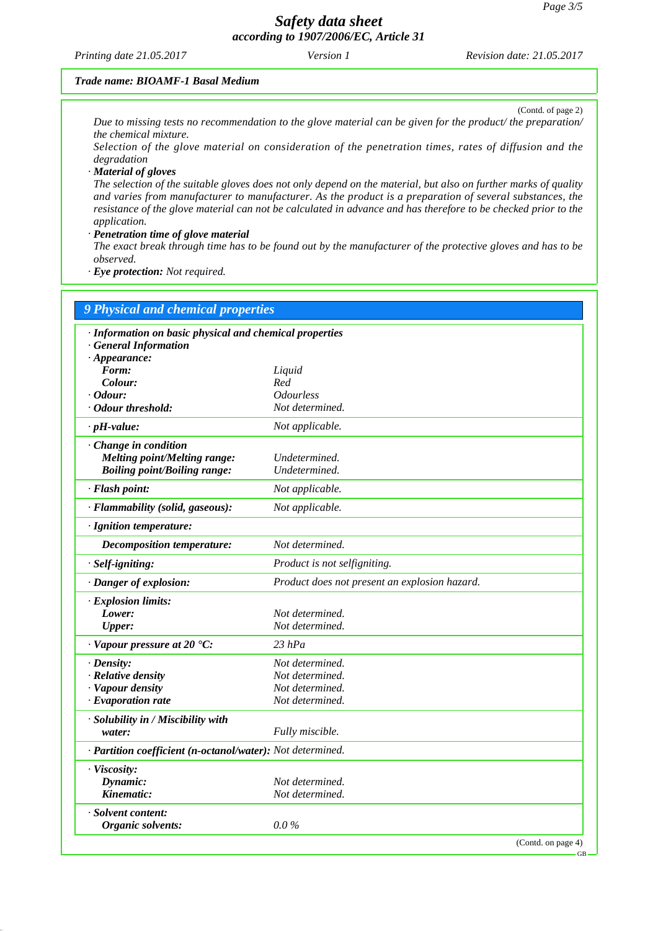*Printing date 21.05.2017 Revision date: 21.05.2017 Version 1*

#### *Trade name: BIOAMF-1 Basal Medium*

(Contd. of page 2) *Due to missing tests no recommendation to the glove material can be given for the product/ the preparation/ the chemical mixture.*

*Selection of the glove material on consideration of the penetration times, rates of diffusion and the degradation*

*· Material of gloves*

*The selection of the suitable gloves does not only depend on the material, but also on further marks of quality and varies from manufacturer to manufacturer. As the product is a preparation of several substances, the resistance of the glove material can not be calculated in advance and has therefore to be checked prior to the application.*

*· Penetration time of glove material*

*The exact break through time has to be found out by the manufacturer of the protective gloves and has to be observed.*

*· Eye protection: Not required.*

| 9 Physical and chemical properties<br>· Information on basic physical and chemical properties |                                               |  |
|-----------------------------------------------------------------------------------------------|-----------------------------------------------|--|
|                                                                                               |                                               |  |
| $\cdot$ Appearance:                                                                           |                                               |  |
| Form:                                                                                         | Liquid                                        |  |
| Colour:                                                                                       | Red                                           |  |
| $\cdot$ Odour:                                                                                | <i><b>Odourless</b></i><br>Not determined.    |  |
| · Odour threshold:                                                                            |                                               |  |
| $\cdot$ pH-value:                                                                             | Not applicable.                               |  |
| Change in condition                                                                           |                                               |  |
| <b>Melting point/Melting range:</b>                                                           | Undetermined.                                 |  |
| <b>Boiling point/Boiling range:</b>                                                           | Undetermined.                                 |  |
| · Flash point:                                                                                | Not applicable.                               |  |
| · Flammability (solid, gaseous):                                                              | Not applicable.                               |  |
| · Ignition temperature:                                                                       |                                               |  |
| Decomposition temperature:                                                                    | Not determined.                               |  |
| · Self-igniting:                                                                              | Product is not selfigniting.                  |  |
| · Danger of explosion:                                                                        | Product does not present an explosion hazard. |  |
| · Explosion limits:                                                                           |                                               |  |
| Lower:                                                                                        | Not determined.                               |  |
| <b>Upper:</b>                                                                                 | Not determined.                               |  |
| $\cdot$ Vapour pressure at 20 $\cdot$ C:                                                      | $23$ hPa                                      |  |
| $\cdot$ Density:                                                                              | Not determined.                               |  |
| · Relative density                                                                            | Not determined.                               |  |
| · Vapour density                                                                              | Not determined.                               |  |
| $\cdot$ Evaporation rate                                                                      | Not determined.                               |  |
| · Solubility in / Miscibility with                                                            |                                               |  |
| water:                                                                                        | Fully miscible.                               |  |
| · Partition coefficient (n-octanol/water): Not determined.                                    |                                               |  |
| · Viscosity:                                                                                  |                                               |  |
| Dynamic:                                                                                      | Not determined.                               |  |
| Kinematic:                                                                                    | Not determined.                               |  |
| · Solvent content:                                                                            |                                               |  |
| Organic solvents:                                                                             | $0.0\%$                                       |  |
|                                                                                               | (Contd. on page 4)                            |  |

GB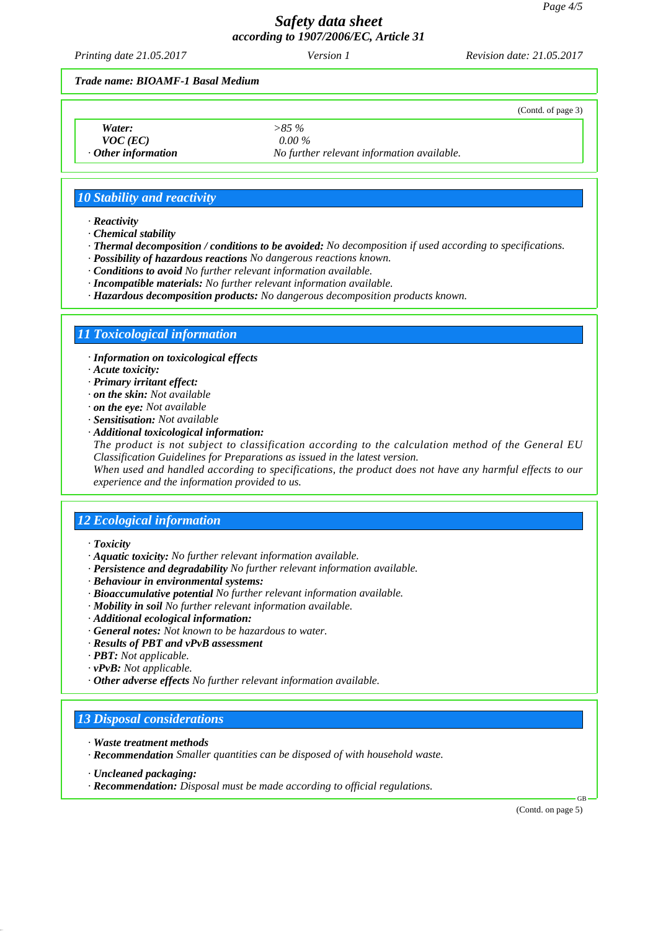(Contd. of page 3)

# *Safety data sheet according to 1907/2006/EC, Article 31*

*Printing date 21.05.2017 Revision date: 21.05.2017 Version 1*

#### *Trade name: BIOAMF-1 Basal Medium*

| Water:           |
|------------------|
| $U\Omega C$ (EC) |

*Water: >85 %*

*VOC (EC) 0.00 % · Other information No further relevant information available.*

## *10 Stability and reactivity*

*· Reactivity*

*· Chemical stability*

- *· Thermal decomposition / conditions to be avoided: No decomposition if used according to specifications.*
- *· Possibility of hazardous reactions No dangerous reactions known.*
- *· Conditions to avoid No further relevant information available.*
- *· Incompatible materials: No further relevant information available.*
- *· Hazardous decomposition products: No dangerous decomposition products known.*

## *11 Toxicological information*

- *· Information on toxicological effects*
- *· Acute toxicity:*
- *· Primary irritant effect:*
- *· on the skin: Not available*
- *· on the eye: Not available*
- *· Sensitisation: Not available*
- *· Additional toxicological information:*

*The product is not subject to classification according to the calculation method of the General EU Classification Guidelines for Preparations as issued in the latest version.*

*When used and handled according to specifications, the product does not have any harmful effects to our experience and the information provided to us.*

## *12 Ecological information*

- *· Toxicity*
- *· Aquatic toxicity: No further relevant information available.*
- *· Persistence and degradability No further relevant information available.*
- *· Behaviour in environmental systems:*
- *· Bioaccumulative potential No further relevant information available.*
- *· Mobility in soil No further relevant information available.*
- *· Additional ecological information:*
- *· General notes: Not known to be hazardous to water.*
- *· Results of PBT and vPvB assessment*
- *· PBT: Not applicable.*
- *· vPvB: Not applicable.*
- *· Other adverse effects No further relevant information available.*

## *13 Disposal considerations*

- *· Waste treatment methods*
- *· Recommendation Smaller quantities can be disposed of with household waste.*
- *· Uncleaned packaging:*
- *· Recommendation: Disposal must be made according to official regulations.*

(Contd. on page 5)

GB